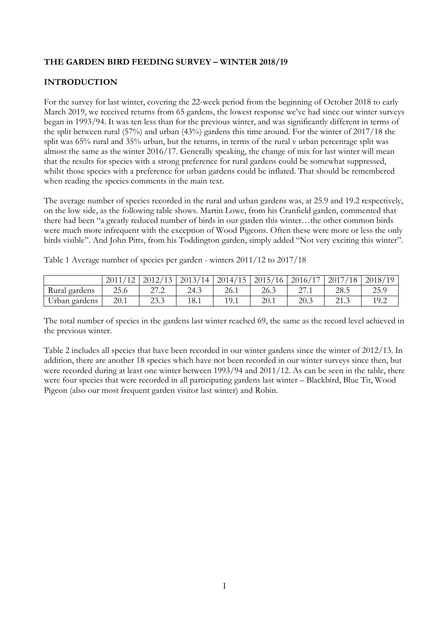# **THE GARDEN BIRD FEEDING SURVEY – WINTER 2018/19**

# **INTRODUCTION**

For the survey for last winter, covering the 22-week period from the beginning of October 2018 to early March 2019, we received returns from 65 gardens, the lowest response we've had since our winter surveys began in 1993/94. It was ten less than for the previous winter, and was significantly different in terms of the split between rural (57%) and urban (43%) gardens this time around. For the winter of 2017/18 the split was 65% rural and 35% urban, but the returns, in terms of the rural v urban percentage split was almost the same as the winter 2016/17. Generally speaking, the change of mix for last winter will mean that the results for species with a strong preference for rural gardens could be somewhat suppressed, whilst those species with a preference for urban gardens could be inflated. That should be remembered when reading the species comments in the main text.

The average number of species recorded in the rural and urban gardens was, at 25.9 and 19.2 respectively, on the low side, as the following table shows. Martin Lowe, from his Cranfield garden, commented that there had been "a greatly reduced number of birds in our garden this winter…the other common birds were much more infrequent with the exception of Wood Pigeons. Often these were more or less the only birds visible". And John Pitts, from his Toddington garden, simply added "Not very exciting this winter".

Table 1 Average number of species per garden - winters 2011/12 to 2017/18

|               | 2011<br>(4 <sub>0</sub> | 2012/13               | 2013/14 | 2014/15 | 2015/16 | 2016/<br>$(1 -$          | 2017<br>/18                | 2018/ |
|---------------|-------------------------|-----------------------|---------|---------|---------|--------------------------|----------------------------|-------|
| Rural gardens | 25.6                    | ר הר<br>$\sim$ $\sim$ | 24.3    | 26.1    | 26.3    | $\sim$<br>$\angle$ / . 1 | 28.5                       | 25.9  |
| Urban gardens | 20.1                    | 722<br>ZJ.J           | 18.1    | 19.1    | 20.1    | 20.3                     | $^{\circ}$<br>$\angle$ 1.J |       |

The total number of species in the gardens last winter reached 69, the same as the record level achieved in the previous winter.

Table 2 includes all species that have been recorded in our winter gardens since the winter of 2012/13. In addition, there are another 18 species which have not been recorded in our winter surveys since then, but were recorded during at least one winter between 1993/94 and 2011/12. As can be seen in the table, there were four species that were recorded in all participating gardens last winter – Blackbird, Blue Tit, Wood Pigeon (also our most frequent garden visitor last winter) and Robin.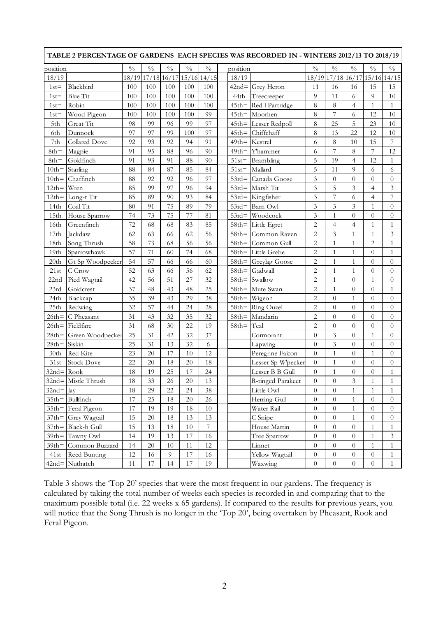| TABLE 2 PERCENTAGE OF GARDENS EACH SPECIES WAS RECORDED IN - WINTERS 2012/13 TO 2018/19 |                       |               |                               |                           |                 |                 |  |          |                          |                  |                |                  |                  |                               |
|-----------------------------------------------------------------------------------------|-----------------------|---------------|-------------------------------|---------------------------|-----------------|-----------------|--|----------|--------------------------|------------------|----------------|------------------|------------------|-------------------------------|
| position                                                                                |                       | $\frac{0}{0}$ | $\frac{0}{0}$                 | $\sqrt[0]{\phantom{.}}_0$ | $\sqrt[0]{\!0}$ | $\sqrt[0]{\!0}$ |  | position |                          | $^{0}/_{0}$      | $\frac{0}{0}$  | $\frac{0}{0}$    | $\frac{0}{0}$    | $\frac{0}{0}$                 |
| 18/19                                                                                   |                       |               | 18/19 17/18 16/17 15/16 14/15 |                           |                 |                 |  | 18/19    |                          |                  |                |                  |                  | 18/19 17/18 16/17 15/16 14/15 |
| $1st =$                                                                                 | Blackbird             | 100           | 100                           | 100                       | 100             | 100             |  |          | $42nd =$ Grey Heron      | 11               | 16             | 16               | 15               | 15                            |
| $1st =$                                                                                 | <b>Blue Tit</b>       | 100           | 100                           | 100                       | 100             | 100             |  | 44th     | Treecreeper              | 9                | 11             | 6                | 9                | 10                            |
| $1st =$                                                                                 | Robin                 | 100           | 100                           | 100                       | 100             | 100             |  |          | $45th$ = Red-l Partridge | 8                | 8              | $\overline{4}$   | $\mathbf{1}$     | $\mathbf{1}$                  |
| $1st =$                                                                                 | Wood Pigeon           | 100           | 100                           | 100                       | 100             | 99              |  |          | $45th$ = Moorhen         | 8                | $\overline{7}$ | 6                | 12               | 10                            |
| 5th                                                                                     | Great Tit             | 98            | 99                            | 96                        | 99              | 97              |  |          | 45th= Lesser Redpoll     | 8                | 25             | 5                | 23               | 10                            |
| 6th                                                                                     | Dunnock               | 97            | 97                            | 99                        | 100             | 97              |  | $45th =$ | Chiffchaff               | 8                | 13             | 22               | 12               | 10                            |
| 7th                                                                                     | Collared Dove         | 92            | 93                            | 92                        | 94              | 91              |  |          | $49th$ = Kestrel         | 6                | 8              | 10               | 15               | $\overline{7}$                |
| $8th =$                                                                                 | Magpie                | 91            | 95                            | 88                        | 96              | 90              |  | $49th =$ | <b>Y'hammer</b>          | 6                | 7              | 8                | 7                | 12                            |
| $8th =$                                                                                 | Goldfinch             | 91            | 93                            | 91                        | 88              | 90              |  | $51st =$ | Brambling                | 5                | 19             | $\overline{4}$   | 12               | 1                             |
| $10th =$                                                                                | Starling              | 88            | 84                            | 87                        | 85              | 84              |  | $51st =$ | Mallard                  | 5                | 11             | 9                | 6                | 6                             |
| $10th =$                                                                                | Chaffinch             | 88            | 92                            | 92                        | 96              | 97              |  |          | 53rd= Canada Goose       | 3                | $\theta$       | $\theta$         | $\overline{0}$   | $\theta$                      |
| $12th = Wren$                                                                           |                       | 85            | 99                            | 97                        | 96              | 94              |  |          | $53rd =$ Marsh Tit       | 3                | 5              | 3                | 4                | 3                             |
|                                                                                         | 12th= Long-t Tit      | 85            | 89                            | 90                        | 93              | 84              |  |          | $53rd =$ Kingfisher      | 3                | $\overline{7}$ | 6                | $\overline{4}$   | $\overline{7}$                |
| 14th                                                                                    | Coal Tit              | 80            | 91                            | 75                        | 89              | 79              |  |          | $53rd =$ Barn Owl        | 3                | $\overline{3}$ | 3                | $\mathbf{1}$     | $\overline{0}$                |
| 15th                                                                                    | House Sparrow         | 74            | 73                            | 75                        | 77              | 81              |  |          | $53rd =$ Woodcock        | 3                | $\mathbf{1}$   | $\overline{0}$   | $\overline{0}$   | $\overline{0}$                |
| 16th                                                                                    | Greenfinch            | 72            | 68                            | 68                        | 83              | 85              |  |          | $58th$ = Little Egret    | $\overline{2}$   | $\overline{4}$ | $\overline{4}$   | $\mathbf{1}$     | $\mathbf{1}$                  |
| 17th                                                                                    | Jackdaw               | 62            | 63                            | 66                        | 62              | 56              |  | $58th =$ | Common Raven             | $\overline{c}$   | 3              | $\mathbf{1}$     | $\mathbf{1}$     | 3                             |
| 18th                                                                                    | Song Thrush           | 58            | 73                            | 68                        | 56              | 56              |  |          | $58th$ = Common Gull     | $\overline{2}$   | $\mathbf{1}$   | $\mathbf{1}$     | $\overline{2}$   | $\,1\,$                       |
| 19 <sub>th</sub>                                                                        | Sparrowhawk           | 57            | 71                            | 60                        | 74              | 68              |  |          | $58th$ = Little Grebe    | $\overline{2}$   | $\mathbf{1}$   | $\mathbf{1}$     | $\overline{0}$   | $\mathbf{1}$                  |
| 20th                                                                                    | Gt Sp Woodpecker      | 54            | 57                            | 66                        | 66              | 60              |  |          | $58th =$ Greylag Goose   | $\overline{c}$   | 1              | 1                | $\overline{0}$   | $\overline{0}$                |
| 21st                                                                                    | C Crow                | 52            | 63                            | 66                        | 56              | 62              |  | $58th =$ | Gadwall                  | $\overline{c}$   | $\mathbf{1}$   | $\mathbf{1}$     | $\overline{0}$   | $\overline{0}$                |
| 22nd                                                                                    | Pied Wagtail          | 42            | 56                            | 51                        | 27              | 32              |  |          | $58th =$ Swallow         | $\overline{c}$   | $\mathbf{1}$   | $\theta$         | $\mathbf{1}$     | $\overline{0}$                |
| 23rd                                                                                    | Goldcrest             | 37            | 48                            | 43                        | 48              | 25              |  | $58th =$ | Mute Swan                | $\overline{2}$   | $\mathbf{1}$   | $\overline{0}$   | $\overline{0}$   | 1                             |
| 24th                                                                                    | Blackcap              | 35            | 39                            | 43                        | 29              | 38              |  | $58th =$ | Wigeon                   | $\overline{c}$   | $\overline{0}$ | $\mathbf{1}$     | $\overline{0}$   | $\overline{0}$                |
| 25th                                                                                    | Redwing               | 32            | 57                            | 44                        | 24              | 28              |  | $58th =$ | Ring Ouzel               | $\overline{c}$   | $\overline{0}$ | $\overline{0}$   | $\overline{0}$   | $\overline{0}$                |
| $26th =$                                                                                | C Pheasant            | 31            | 43                            | 32                        | 35              | 32              |  |          | 58th= Mandarin           | $\overline{c}$   | $\overline{0}$ | $\boldsymbol{0}$ | $\overline{0}$   | $\overline{0}$                |
| $26th =$                                                                                | Fieldfare             | 31            | 68                            | 30                        | 22              | 19              |  | $58th =$ | Teal                     | $\overline{c}$   | $\overline{0}$ | $\overline{0}$   | $\overline{0}$   | $\overline{0}$                |
| $28th =$                                                                                | Green Woodpecker      | 25            | 31                            | 42                        | 32              | 37              |  |          | Cormorant                | $\overline{0}$   | $\overline{3}$ | $\overline{0}$   | $\mathbf{1}$     | $\overline{0}$                |
| $28th =$                                                                                | Siskin                | 25            | 31                            | 13                        | 32              | 6               |  |          | Lapwing                  | $\overline{0}$   | $\overline{3}$ | $\theta$         | $\overline{0}$   | $\overline{0}$                |
| 30 <sub>th</sub>                                                                        | Red Kite              | 23            | 20                            | 17                        | 10              | 12              |  |          | Peregrine Falcon         | $\overline{0}$   | $\mathbf{1}$   | $\overline{0}$   | $\mathbf{1}$     | $\overline{0}$                |
| 31st                                                                                    | <b>Stock Dove</b>     | 22            | 20                            | 18                        | 20              | 18              |  |          | Lesser Sp W'pecker       | $\overline{0}$   | 1              | $\overline{0}$   | $\overline{0}$   | $\overline{0}$                |
| $32nd = Rook$                                                                           |                       | 18            | 19                            | 25                        | 17              | 24              |  |          | Lesser B B Gull          | $\overline{0}$   | 1              | $\theta$         | $\overline{0}$   | $\mathbf{1}$                  |
|                                                                                         | 32nd= Mistle Thrush   | 18            | 33                            | $26\,$                    | 20              | 13              |  |          | R-ringed Parakeet        | 0                | $\theta$       | $\mathfrak{Z}$   | 1                | 1                             |
| $32nd =$ Jay                                                                            |                       | 18            | 29                            | 22                        | 24              | 38              |  |          | Little Owl               | $\overline{0}$   | $\overline{0}$ | $\mathbf{1}$     | 1                | $\mathbf{1}$                  |
|                                                                                         | $35th$ = Bullfinch    | 17            | 25                            | 18                        | $20\,$          | $26\,$          |  |          | Herring Gull             | $\overline{0}$   | $\overline{0}$ | $\mathbf{1}$     | $\overline{0}$   | $\overline{0}$                |
|                                                                                         | $35th$ Feral Pigeon   | 17            | 19                            | 19                        | 18              | 10              |  |          | Water Rail               | $\overline{0}$   | $\overline{0}$ | $\mathbf{1}$     | $\overline{0}$   | $\overline{0}$                |
|                                                                                         | 37th= Grey Wagtail    | 15            | 20                            | 18                        | 13              | 13              |  |          | C Snipe                  | $\boldsymbol{0}$ | $\overline{0}$ | $\mathbf{1}$     | $\overline{0}$   | $\overline{0}$                |
|                                                                                         | $37th$ = Black-h Gull | 15            | 13                            | 18                        | 10              | $\overline{7}$  |  |          | House Martin             | $\overline{0}$   | $\overline{0}$ | $\overline{0}$   | $\mathbf{1}$     | $\mathbf{1}$                  |
| $39th =$                                                                                | Tawny Owl             | 14            | 19                            | 13                        | 17              | 16              |  |          | Tree Sparrow             | $\overline{0}$   | $\overline{0}$ | $\overline{0}$   | $\mathbf{1}$     | 3                             |
| $39th =$                                                                                | Common Buzzard        | 14            | 20                            | 10                        | 11              | 12              |  |          | Linnet                   | $\overline{0}$   | $\overline{0}$ | $\theta$         | $\mathbf{1}$     | $\mathbf{1}$                  |
| 41st                                                                                    | Reed Bunting          | 12            | 16                            | 9                         | 17              | 16              |  |          | Yellow Wagtail           | $\boldsymbol{0}$ | $\overline{0}$ | $\overline{0}$   | $\boldsymbol{0}$ | $\mathbf{1}$                  |
| $42nd =$                                                                                | Nuthatch              | 11            | 17                            | 14                        | 17              | 19              |  |          | Waxwing                  | $\overline{0}$   | $\overline{0}$ | $\theta$         | $\boldsymbol{0}$ | $\mathbf{1}$                  |

Table 3 shows the 'Top 20' species that were the most frequent in our gardens. The frequency is calculated by taking the total number of weeks each species is recorded in and comparing that to the maximum possible total (i.e. 22 weeks x 65 gardens). If compared to the results for previous years, you will notice that the Song Thrush is no longer in the 'Top 20', being overtaken by Pheasant, Rook and Feral Pigeon.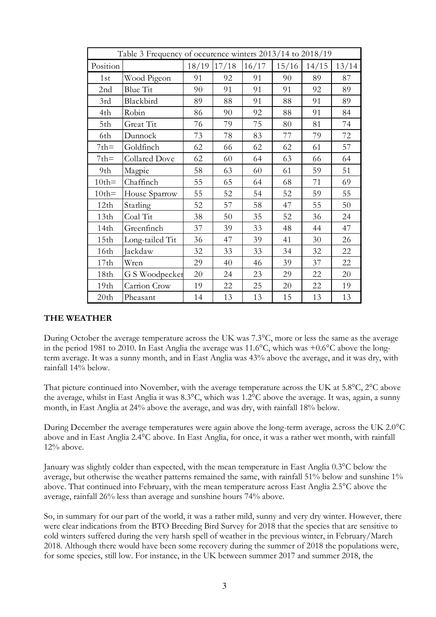| Table 3 Frequency of occurence winters 2013/14 to 2018/19 |                 |       |       |       |       |       |       |  |  |
|-----------------------------------------------------------|-----------------|-------|-------|-------|-------|-------|-------|--|--|
| Position                                                  |                 | 18/19 | 17/18 | 16/17 | 15/16 | 14/15 | 13/14 |  |  |
| 1st                                                       | Wood Pigeon     | 91    | 92    | 91    | 90    | 89    | 87    |  |  |
| 2nd                                                       | Blue Tit        | 90    | 91    | 91    | 91    | 92    | 89    |  |  |
| 3rd                                                       | Blackbird       | 89    | 88    | 91    | 88    | 91    | 89    |  |  |
| 4th                                                       | Robin           | 86    | 90    | 92    | 88    | 91    | 84    |  |  |
| 5th                                                       | Great Tit       | 76    | 79    | 75    | 80    | 81    | 74    |  |  |
| 6th                                                       | Dunnock         | 73    | 78    | 83    | 77    | 79    | 72    |  |  |
| $7th =$                                                   | Goldfinch       | 62    | 66    | 62    | 62    | 61    | 57    |  |  |
| $7th =$                                                   | Collared Dove   | 62    | 60    | 64    | 63    | 66    | 64    |  |  |
| 9th                                                       | Magpie          | 58    | 63    | 60    | 61    | 59    | 51    |  |  |
| $10th =$                                                  | Chaffinch       | 55    | 65    | 64    | 68    | 71    | 69    |  |  |
| $10th =$                                                  | House Sparrow   | 55    | 52    | 54    | 52    | 59    | 55    |  |  |
| 12th                                                      | Starling        | 52    | 57    | 58    | 47    | 55    | 50    |  |  |
| 13th                                                      | Coal Tit        | 38    | 50    | 35    | 52    | 36    | 24    |  |  |
| 14th                                                      | Greenfinch      | 37    | 39    | 33    | 48    | 44    | 47    |  |  |
| 15 <sub>th</sub>                                          | Long-tailed Tit | 36    | 47    | 39    | 41    | 30    | 26    |  |  |
| 16th                                                      | Jackdaw         | 32    | 33    | 33    | 34    | 32    | 22    |  |  |
| 17th                                                      | Wren            | 29    | 40    | 46    | 39    | 37    | 22    |  |  |
| 18th                                                      | G S Woodpecker  | 20    | 24    | 23    | 29    | 22    | 20    |  |  |
| 19th                                                      | Carrion Crow    | 19    | 22    | 25    | 20    | 22    | 19    |  |  |
| 20th                                                      | Pheasant        | 14    | 13    | 13    | 15    | 13    | 13    |  |  |

### **THE WEATHER**

During October the average temperature across the UK was 7.3°C, more or less the same as the average in the period 1981 to 2010. In East Anglia the average was 11.6°C, which was +0.6°C above the longterm average. It was a sunny month, and in East Anglia was 43% above the average, and it was dry, with rainfall 14% below.

That picture continued into November, with the average temperature across the UK at 5.8°C, 2°C above the average, whilst in East Anglia it was 8.3°C, which was 1.2°C above the average. It was, again, a sunny month, in East Anglia at 24% above the average, and was dry, with rainfall 18% below.

During December the average temperatures were again above the long-term average, across the UK 2.0°C above and in East Anglia 2.4°C above. In East Anglia, for once, it was a rather wet month, with rainfall  $12\%$  above

January was slightly colder than expected, with the mean temperature in East Anglia 0.3°C below the average, but otherwise the weather patterns remained the same, with rainfall 51% below and sunshine 1% above. That continued into February, with the mean temperature across East Anglia 2.5°C above the average, rainfall 26% less than average and sunshine hours 74% above.

So, in summary for our part of the world, it was a rather mild, sunny and very dry winter. However, there were clear indications from the BTO Breeding Bird Survey for 2018 that the species that are sensitive to cold winters suffered during the very harsh spell of weather in the previous winter, in February/March 2018. Although there would have been some recovery during the summer of 2018 the populations were, for some species, still low. For instance, in the UK between summer 2017 and summer 2018, the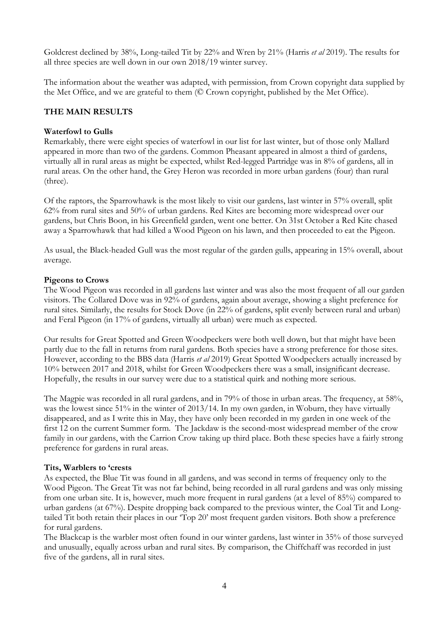Goldcrest declined by 38%, Long-tailed Tit by 22% and Wren by 21% (Harris *et al* 2019). The results for all three species are well down in our own 2018/19 winter survey.

The information about the weather was adapted, with permission, from Crown copyright data supplied by the Met Office, and we are grateful to them (© Crown copyright, published by the Met Office).

# **THE MAIN RESULTS**

#### **Waterfowl to Gulls**

Remarkably, there were eight species of waterfowl in our list for last winter, but of those only Mallard appeared in more than two of the gardens. Common Pheasant appeared in almost a third of gardens, virtually all in rural areas as might be expected, whilst Red-legged Partridge was in 8% of gardens, all in rural areas. On the other hand, the Grey Heron was recorded in more urban gardens (four) than rural (three).

Of the raptors, the Sparrowhawk is the most likely to visit our gardens, last winter in 57% overall, split 62% from rural sites and 50% of urban gardens. Red Kites are becoming more widespread over our gardens, but Chris Boon, in his Greenfield garden, went one better. On 31st October a Red Kite chased away a Sparrowhawk that had killed a Wood Pigeon on his lawn, and then proceeded to eat the Pigeon.

As usual, the Black-headed Gull was the most regular of the garden gulls, appearing in 15% overall, about average.

#### **Pigeons to Crows**

The Wood Pigeon was recorded in all gardens last winter and was also the most frequent of all our garden visitors. The Collared Dove was in 92% of gardens, again about average, showing a slight preference for rural sites. Similarly, the results for Stock Dove (in 22% of gardens, split evenly between rural and urban) and Feral Pigeon (in 17% of gardens, virtually all urban) were much as expected.

Our results for Great Spotted and Green Woodpeckers were both well down, but that might have been partly due to the fall in returns from rural gardens. Both species have a strong preference for those sites. However, according to the BBS data (Harris *et al* 2019) Great Spotted Woodpeckers actually increased by 10% between 2017 and 2018, whilst for Green Woodpeckers there was a small, insignificant decrease. Hopefully, the results in our survey were due to a statistical quirk and nothing more serious.

The Magpie was recorded in all rural gardens, and in 79% of those in urban areas. The frequency, at 58%, was the lowest since 51% in the winter of 2013/14. In my own garden, in Woburn, they have virtually disappeared, and as I write this in May, they have only been recorded in my garden in one week of the first 12 on the current Summer form. The Jackdaw is the second-most widespread member of the crow family in our gardens, with the Carrion Crow taking up third place. Both these species have a fairly strong preference for gardens in rural areas.

### **Tits, Warblers to 'crests**

As expected, the Blue Tit was found in all gardens, and was second in terms of frequency only to the Wood Pigeon. The Great Tit was not far behind, being recorded in all rural gardens and was only missing from one urban site. It is, however, much more frequent in rural gardens (at a level of 85%) compared to urban gardens (at 67%). Despite dropping back compared to the previous winter, the Coal Tit and Longtailed Tit both retain their places in our 'Top 20' most frequent garden visitors. Both show a preference for rural gardens.

The Blackcap is the warbler most often found in our winter gardens, last winter in 35% of those surveyed and unusually, equally across urban and rural sites. By comparison, the Chiffchaff was recorded in just five of the gardens, all in rural sites.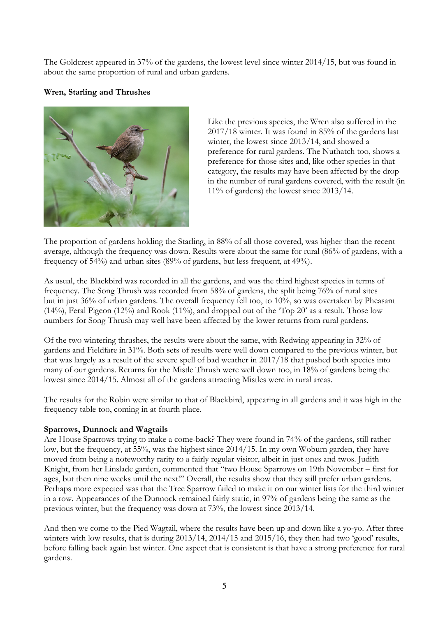The Goldcrest appeared in 37% of the gardens, the lowest level since winter 2014/15, but was found in about the same proportion of rural and urban gardens.

# **Wren, Starling and Thrushes**



Like the previous species, the Wren also suffered in the 2017/18 winter. It was found in 85% of the gardens last winter, the lowest since 2013/14, and showed a preference for rural gardens. The Nuthatch too, shows a preference for those sites and, like other species in that category, the results may have been affected by the drop in the number of rural gardens covered, with the result (in 11% of gardens) the lowest since 2013/14.

The proportion of gardens holding the Starling, in 88% of all those covered, was higher than the recent average, although the frequency was down. Results were about the same for rural (86% of gardens, with a frequency of 54%) and urban sites (89% of gardens, but less frequent, at 49%).

As usual, the Blackbird was recorded in all the gardens, and was the third highest species in terms of frequency. The Song Thrush was recorded from 58% of gardens, the split being 76% of rural sites but in just 36% of urban gardens. The overall frequency fell too, to 10%, so was overtaken by Pheasant (14%), Feral Pigeon (12%) and Rook (11%), and dropped out of the 'Top 20' as a result. Those low numbers for Song Thrush may well have been affected by the lower returns from rural gardens.

Of the two wintering thrushes, the results were about the same, with Redwing appearing in 32% of gardens and Fieldfare in 31%. Both sets of results were well down compared to the previous winter, but that was largely as a result of the severe spell of bad weather in 2017/18 that pushed both species into many of our gardens. Returns for the Mistle Thrush were well down too, in 18% of gardens being the lowest since 2014/15. Almost all of the gardens attracting Mistles were in rural areas.

The results for the Robin were similar to that of Blackbird, appearing in all gardens and it was high in the frequency table too, coming in at fourth place.

### **Sparrows, Dunnock and Wagtails**

Are House Sparrows trying to make a come-back? They were found in 74% of the gardens, still rather low, but the frequency, at 55%, was the highest since 2014/15. In my own Woburn garden, they have moved from being a noteworthy rarity to a fairly regular visitor, albeit in just ones and twos. Judith Knight, from her Linslade garden, commented that "two House Sparrows on 19th November – first for ages, but then nine weeks until the next!" Overall, the results show that they still prefer urban gardens. Perhaps more expected was that the Tree Sparrow failed to make it on our winter lists for the third winter in a row. Appearances of the Dunnock remained fairly static, in 97% of gardens being the same as the previous winter, but the frequency was down at 73%, the lowest since 2013/14.

And then we come to the Pied Wagtail, where the results have been up and down like a yo-yo. After three winters with low results, that is during 2013/14, 2014/15 and 2015/16, they then had two 'good' results, before falling back again last winter. One aspect that is consistent is that have a strong preference for rural gardens.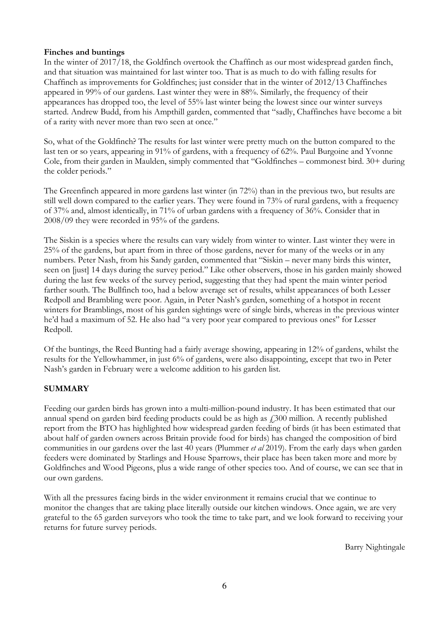## **Finches and buntings**

In the winter of 2017/18, the Goldfinch overtook the Chaffinch as our most widespread garden finch, and that situation was maintained for last winter too. That is as much to do with falling results for Chaffinch as improvements for Goldfinches; just consider that in the winter of 2012/13 Chaffinches appeared in 99% of our gardens. Last winter they were in 88%. Similarly, the frequency of their appearances has dropped too, the level of 55% last winter being the lowest since our winter surveys started. Andrew Budd, from his Ampthill garden, commented that "sadly, Chaffinches have become a bit of a rarity with never more than two seen at once."

So, what of the Goldfinch? The results for last winter were pretty much on the button compared to the last ten or so years, appearing in 91% of gardens, with a frequency of 62%. Paul Burgoine and Yvonne Cole, from their garden in Maulden, simply commented that "Goldfinches – commonest bird. 30+ during the colder periods."

The Greenfinch appeared in more gardens last winter (in 72%) than in the previous two, but results are still well down compared to the earlier years. They were found in 73% of rural gardens, with a frequency of 37% and, almost identically, in 71% of urban gardens with a frequency of 36%. Consider that in 2008/09 they were recorded in 95% of the gardens.

The Siskin is a species where the results can vary widely from winter to winter. Last winter they were in 25% of the gardens, but apart from in three of those gardens, never for many of the weeks or in any numbers. Peter Nash, from his Sandy garden, commented that "Siskin – never many birds this winter, seen on [just] 14 days during the survey period." Like other observers, those in his garden mainly showed during the last few weeks of the survey period, suggesting that they had spent the main winter period farther south. The Bullfinch too, had a below average set of results, whilst appearances of both Lesser Redpoll and Brambling were poor. Again, in Peter Nash's garden, something of a hotspot in recent winters for Bramblings, most of his garden sightings were of single birds, whereas in the previous winter he'd had a maximum of 52. He also had "a very poor year compared to previous ones" for Lesser Redpoll.

Of the buntings, the Reed Bunting had a fairly average showing, appearing in 12% of gardens, whilst the results for the Yellowhammer, in just 6% of gardens, were also disappointing, except that two in Peter Nash's garden in February were a welcome addition to his garden list.

### **SUMMARY**

Feeding our garden birds has grown into a multi-million-pound industry. It has been estimated that our annual spend on garden bird feeding products could be as high as  $\ell$  300 million. A recently published report from the BTO has highlighted how widespread garden feeding of birds (it has been estimated that about half of garden owners across Britain provide food for birds) has changed the composition of bird communities in our gardens over the last 40 years (Plummer *et al* 2019). From the early days when garden feeders were dominated by Starlings and House Sparrows, their place has been taken more and more by Goldfinches and Wood Pigeons, plus a wide range of other species too. And of course, we can see that in our own gardens.

With all the pressures facing birds in the wider environment it remains crucial that we continue to monitor the changes that are taking place literally outside our kitchen windows. Once again, we are very grateful to the 65 garden surveyors who took the time to take part, and we look forward to receiving your returns for future survey periods.

Barry Nightingale